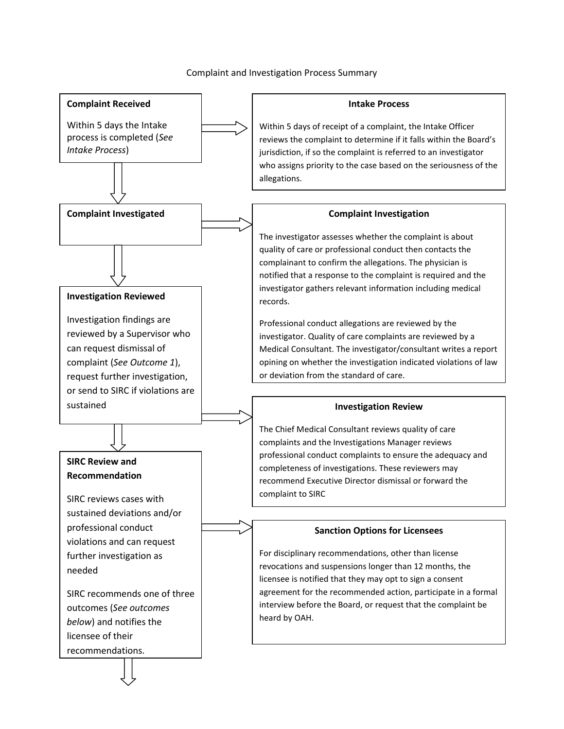### Complaint and Investigation Process Summary